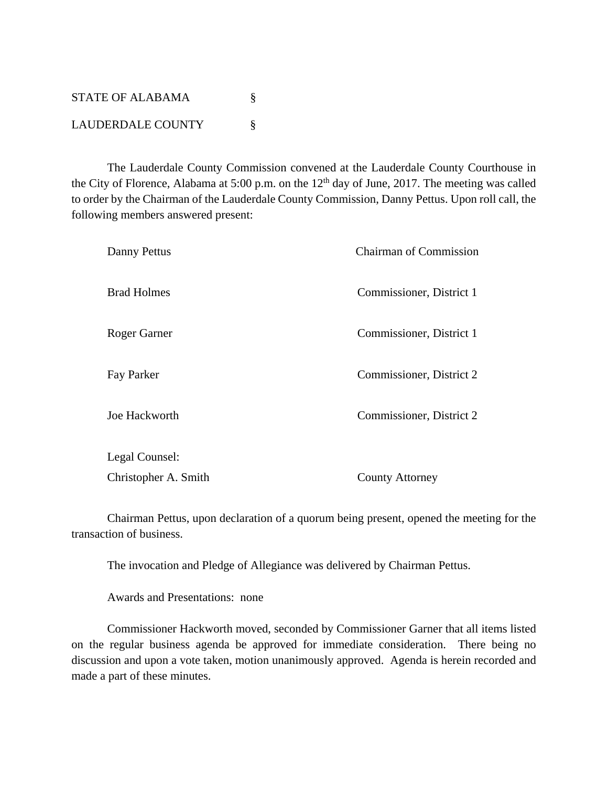STATE OF ALABAMA  $\S$ LAUDERDALE COUNTY §

 The Lauderdale County Commission convened at the Lauderdale County Courthouse in the City of Florence, Alabama at 5:00 p.m. on the  $12<sup>th</sup>$  day of June, 2017. The meeting was called to order by the Chairman of the Lauderdale County Commission, Danny Pettus. Upon roll call, the following members answered present:

| Danny Pettus         | <b>Chairman of Commission</b> |
|----------------------|-------------------------------|
| <b>Brad Holmes</b>   | Commissioner, District 1      |
| Roger Garner         | Commissioner, District 1      |
| Fay Parker           | Commissioner, District 2      |
| Joe Hackworth        | Commissioner, District 2      |
| Legal Counsel:       |                               |
| Christopher A. Smith | <b>County Attorney</b>        |

 Chairman Pettus, upon declaration of a quorum being present, opened the meeting for the transaction of business.

The invocation and Pledge of Allegiance was delivered by Chairman Pettus.

Awards and Presentations: none

Commissioner Hackworth moved, seconded by Commissioner Garner that all items listed on the regular business agenda be approved for immediate consideration. There being no discussion and upon a vote taken, motion unanimously approved. Agenda is herein recorded and made a part of these minutes.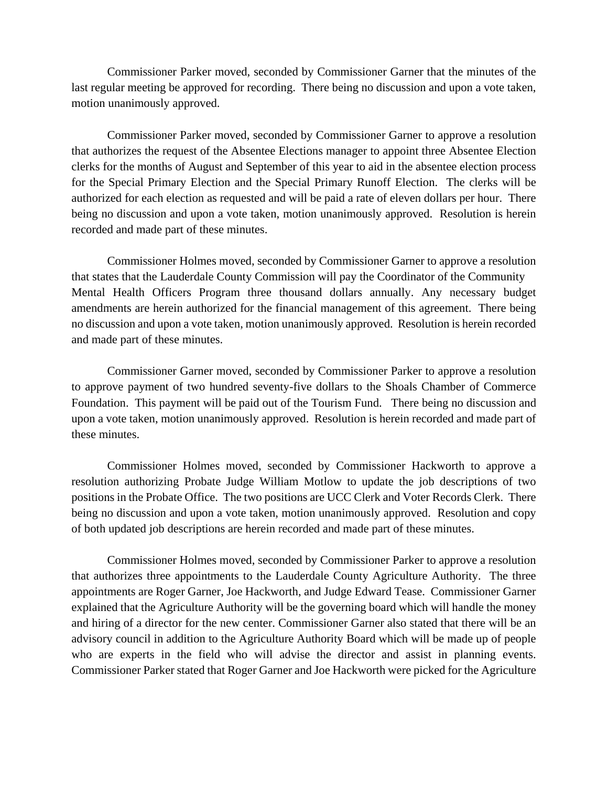Commissioner Parker moved, seconded by Commissioner Garner that the minutes of the last regular meeting be approved for recording. There being no discussion and upon a vote taken, motion unanimously approved.

Commissioner Parker moved, seconded by Commissioner Garner to approve a resolution that authorizes the request of the Absentee Elections manager to appoint three Absentee Election clerks for the months of August and September of this year to aid in the absentee election process for the Special Primary Election and the Special Primary Runoff Election. The clerks will be authorized for each election as requested and will be paid a rate of eleven dollars per hour. There being no discussion and upon a vote taken, motion unanimously approved. Resolution is herein recorded and made part of these minutes.

Commissioner Holmes moved, seconded by Commissioner Garner to approve a resolution that states that the Lauderdale County Commission will pay the Coordinator of the Community Mental Health Officers Program three thousand dollars annually. Any necessary budget amendments are herein authorized for the financial management of this agreement. There being no discussion and upon a vote taken, motion unanimously approved. Resolution is herein recorded and made part of these minutes.

Commissioner Garner moved, seconded by Commissioner Parker to approve a resolution to approve payment of two hundred seventy-five dollars to the Shoals Chamber of Commerce Foundation. This payment will be paid out of the Tourism Fund. There being no discussion and upon a vote taken, motion unanimously approved. Resolution is herein recorded and made part of these minutes.

 Commissioner Holmes moved, seconded by Commissioner Hackworth to approve a resolution authorizing Probate Judge William Motlow to update the job descriptions of two positions in the Probate Office. The two positions are UCC Clerk and Voter Records Clerk. There being no discussion and upon a vote taken, motion unanimously approved. Resolution and copy of both updated job descriptions are herein recorded and made part of these minutes.

 Commissioner Holmes moved, seconded by Commissioner Parker to approve a resolution that authorizes three appointments to the Lauderdale County Agriculture Authority. The three appointments are Roger Garner, Joe Hackworth, and Judge Edward Tease. Commissioner Garner explained that the Agriculture Authority will be the governing board which will handle the money and hiring of a director for the new center. Commissioner Garner also stated that there will be an advisory council in addition to the Agriculture Authority Board which will be made up of people who are experts in the field who will advise the director and assist in planning events. Commissioner Parker stated that Roger Garner and Joe Hackworth were picked for the Agriculture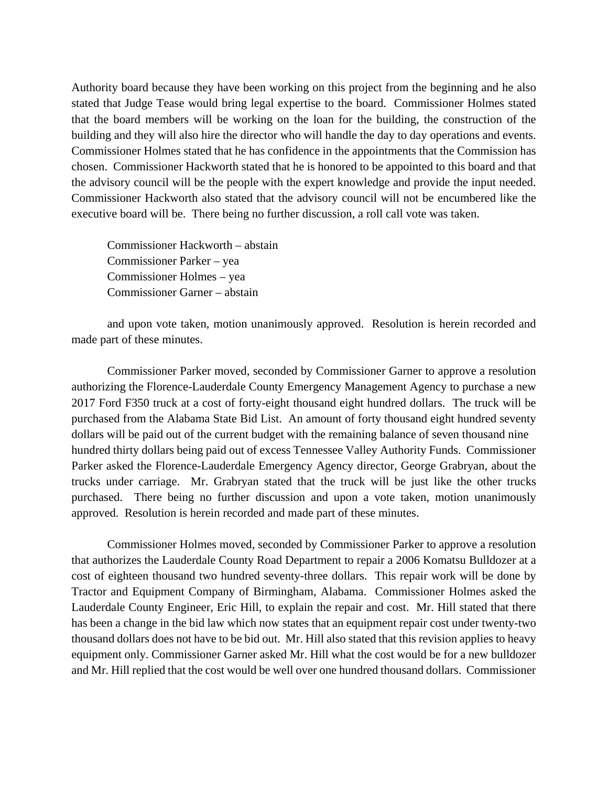Authority board because they have been working on this project from the beginning and he also stated that Judge Tease would bring legal expertise to the board. Commissioner Holmes stated that the board members will be working on the loan for the building, the construction of the building and they will also hire the director who will handle the day to day operations and events. Commissioner Holmes stated that he has confidence in the appointments that the Commission has chosen. Commissioner Hackworth stated that he is honored to be appointed to this board and that the advisory council will be the people with the expert knowledge and provide the input needed. Commissioner Hackworth also stated that the advisory council will not be encumbered like the executive board will be. There being no further discussion, a roll call vote was taken.

 Commissioner Hackworth – abstain Commissioner Parker – yea Commissioner Holmes – yea Commissioner Garner – abstain

 and upon vote taken, motion unanimously approved. Resolution is herein recorded and made part of these minutes.

 Commissioner Parker moved, seconded by Commissioner Garner to approve a resolution authorizing the Florence-Lauderdale County Emergency Management Agency to purchase a new 2017 Ford F350 truck at a cost of forty-eight thousand eight hundred dollars. The truck will be purchased from the Alabama State Bid List. An amount of forty thousand eight hundred seventy dollars will be paid out of the current budget with the remaining balance of seven thousand nine hundred thirty dollars being paid out of excess Tennessee Valley Authority Funds. Commissioner Parker asked the Florence-Lauderdale Emergency Agency director, George Grabryan, about the trucks under carriage. Mr. Grabryan stated that the truck will be just like the other trucks purchased. There being no further discussion and upon a vote taken, motion unanimously approved. Resolution is herein recorded and made part of these minutes.

 Commissioner Holmes moved, seconded by Commissioner Parker to approve a resolution that authorizes the Lauderdale County Road Department to repair a 2006 Komatsu Bulldozer at a cost of eighteen thousand two hundred seventy-three dollars. This repair work will be done by Tractor and Equipment Company of Birmingham, Alabama. Commissioner Holmes asked the Lauderdale County Engineer, Eric Hill, to explain the repair and cost. Mr. Hill stated that there has been a change in the bid law which now states that an equipment repair cost under twenty-two thousand dollars does not have to be bid out. Mr. Hill also stated that this revision applies to heavy equipment only. Commissioner Garner asked Mr. Hill what the cost would be for a new bulldozer and Mr. Hill replied that the cost would be well over one hundred thousand dollars. Commissioner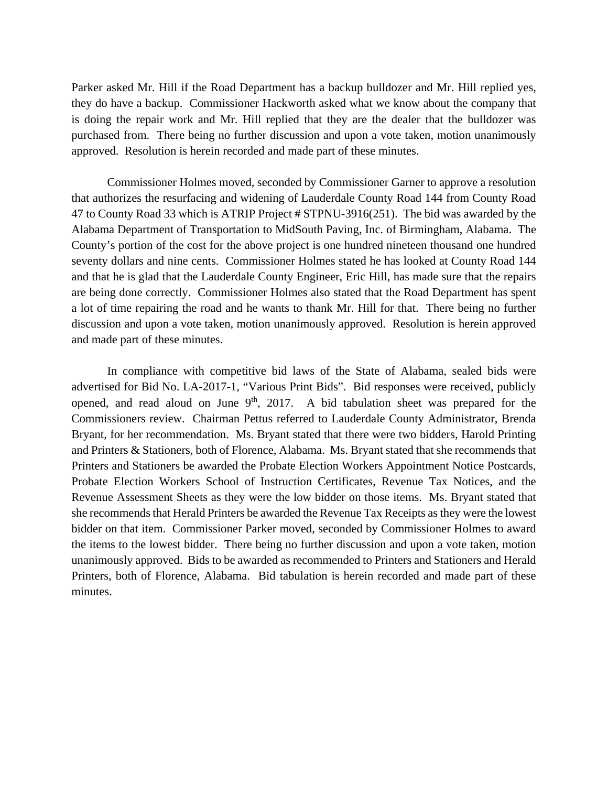Parker asked Mr. Hill if the Road Department has a backup bulldozer and Mr. Hill replied yes, they do have a backup. Commissioner Hackworth asked what we know about the company that is doing the repair work and Mr. Hill replied that they are the dealer that the bulldozer was purchased from. There being no further discussion and upon a vote taken, motion unanimously approved. Resolution is herein recorded and made part of these minutes.

 Commissioner Holmes moved, seconded by Commissioner Garner to approve a resolution that authorizes the resurfacing and widening of Lauderdale County Road 144 from County Road 47 to County Road 33 which is ATRIP Project # STPNU-3916(251). The bid was awarded by the Alabama Department of Transportation to MidSouth Paving, Inc. of Birmingham, Alabama. The County's portion of the cost for the above project is one hundred nineteen thousand one hundred seventy dollars and nine cents. Commissioner Holmes stated he has looked at County Road 144 and that he is glad that the Lauderdale County Engineer, Eric Hill, has made sure that the repairs are being done correctly. Commissioner Holmes also stated that the Road Department has spent a lot of time repairing the road and he wants to thank Mr. Hill for that. There being no further discussion and upon a vote taken, motion unanimously approved. Resolution is herein approved and made part of these minutes.

 In compliance with competitive bid laws of the State of Alabama, sealed bids were advertised for Bid No. LA-2017-1, "Various Print Bids". Bid responses were received, publicly opened, and read aloud on June  $9<sup>th</sup>$ , 2017. A bid tabulation sheet was prepared for the Commissioners review. Chairman Pettus referred to Lauderdale County Administrator, Brenda Bryant, for her recommendation. Ms. Bryant stated that there were two bidders, Harold Printing and Printers & Stationers, both of Florence, Alabama. Ms. Bryant stated that she recommends that Printers and Stationers be awarded the Probate Election Workers Appointment Notice Postcards, Probate Election Workers School of Instruction Certificates, Revenue Tax Notices, and the Revenue Assessment Sheets as they were the low bidder on those items. Ms. Bryant stated that she recommends that Herald Printers be awarded the Revenue Tax Receipts as they were the lowest bidder on that item. Commissioner Parker moved, seconded by Commissioner Holmes to award the items to the lowest bidder. There being no further discussion and upon a vote taken, motion unanimously approved. Bids to be awarded as recommended to Printers and Stationers and Herald Printers, both of Florence, Alabama. Bid tabulation is herein recorded and made part of these minutes.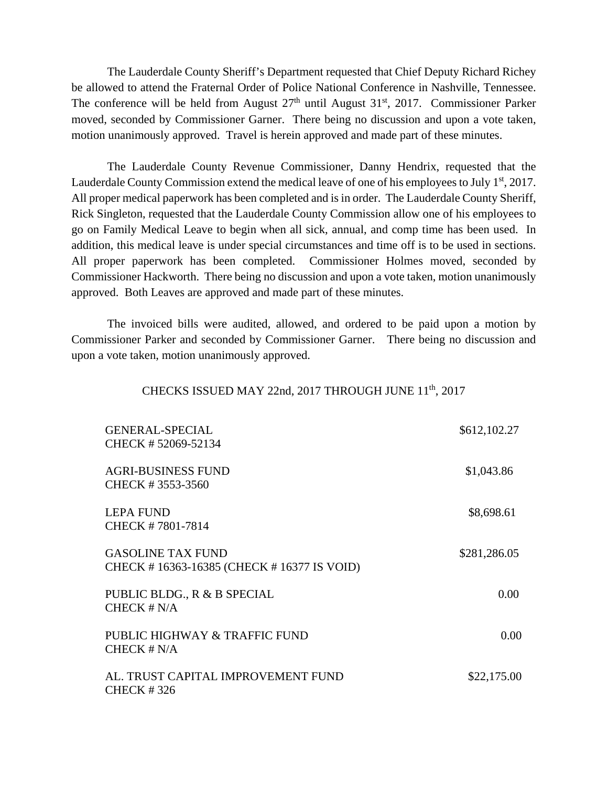The Lauderdale County Sheriff's Department requested that Chief Deputy Richard Richey be allowed to attend the Fraternal Order of Police National Conference in Nashville, Tennessee. The conference will be held from August  $27<sup>th</sup>$  until August  $31<sup>st</sup>$ ,  $2017$ . Commissioner Parker moved, seconded by Commissioner Garner. There being no discussion and upon a vote taken, motion unanimously approved. Travel is herein approved and made part of these minutes.

The Lauderdale County Revenue Commissioner, Danny Hendrix, requested that the Lauderdale County Commission extend the medical leave of one of his employees to July  $1<sup>st</sup>$ , 2017. All proper medical paperwork has been completed and is in order. The Lauderdale County Sheriff, Rick Singleton, requested that the Lauderdale County Commission allow one of his employees to go on Family Medical Leave to begin when all sick, annual, and comp time has been used. In addition, this medical leave is under special circumstances and time off is to be used in sections. All proper paperwork has been completed. Commissioner Holmes moved, seconded by Commissioner Hackworth. There being no discussion and upon a vote taken, motion unanimously approved. Both Leaves are approved and made part of these minutes.

The invoiced bills were audited, allowed, and ordered to be paid upon a motion by Commissioner Parker and seconded by Commissioner Garner. There being no discussion and upon a vote taken, motion unanimously approved.

## CHECKS ISSUED MAY 22nd, 2017 THROUGH JUNE 11<sup>th</sup>, 2017

| <b>GENERAL-SPECIAL</b><br>CHECK #52069-52134                          | \$612,102.27 |
|-----------------------------------------------------------------------|--------------|
| <b>AGRI-BUSINESS FUND</b><br>CHECK #3553-3560                         | \$1,043.86   |
| <b>LEPA FUND</b><br>CHECK #7801-7814                                  | \$8,698.61   |
| <b>GASOLINE TAX FUND</b><br>CHECK #16363-16385 (CHECK #16377 IS VOID) | \$281,286.05 |
| PUBLIC BLDG., R & B SPECIAL<br>CHECK # N/A                            | 0.00         |
| PUBLIC HIGHWAY & TRAFFIC FUND<br>CHECK $# N/A$                        | 0.00         |
| AL. TRUST CAPITAL IMPROVEMENT FUND<br><b>CHECK #326</b>               | \$22,175.00  |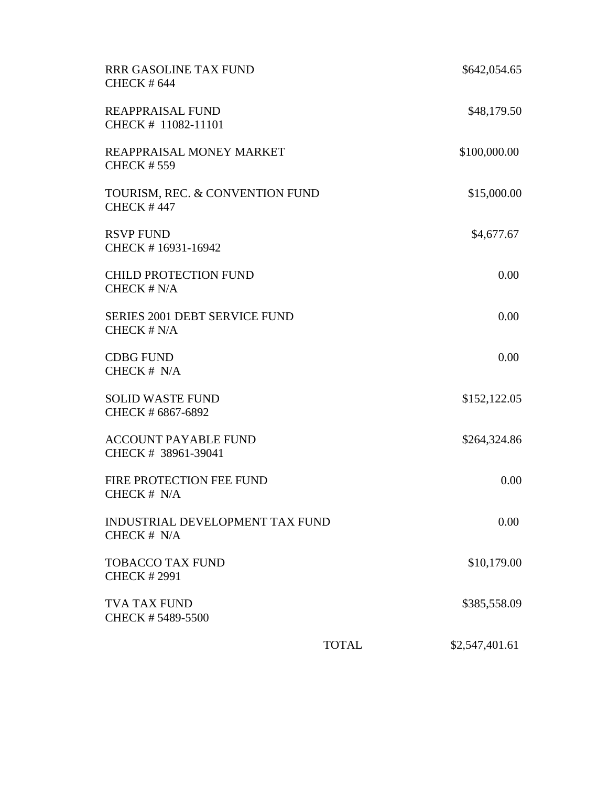| <b>RRR GASOLINE TAX FUND</b><br><b>CHECK #644</b>     |              | \$642,054.65   |
|-------------------------------------------------------|--------------|----------------|
| <b>REAPPRAISAL FUND</b><br>CHECK # 11082-11101        |              | \$48,179.50    |
| REAPPRAISAL MONEY MARKET<br><b>CHECK #559</b>         |              | \$100,000.00   |
| TOURISM, REC. & CONVENTION FUND<br><b>CHECK #447</b>  |              | \$15,000.00    |
| <b>RSVP FUND</b><br>CHECK #16931-16942                |              | \$4,677.67     |
| <b>CHILD PROTECTION FUND</b><br>CHECK # N/A           |              | 0.00           |
| <b>SERIES 2001 DEBT SERVICE FUND</b><br>CHECK # N/A   |              | 0.00           |
| <b>CDBG FUND</b><br>CHECK # N/A                       |              | 0.00           |
| <b>SOLID WASTE FUND</b><br>CHECK # 6867-6892          |              | \$152,122.05   |
| <b>ACCOUNT PAYABLE FUND</b><br>CHECK # 38961-39041    |              | \$264,324.86   |
| FIRE PROTECTION FEE FUND<br>CHECK # N/A               |              | 0.00           |
| <b>INDUSTRIAL DEVELOPMENT TAX FUND</b><br>CHECK # N/A |              | 0.00           |
| <b>TOBACCO TAX FUND</b><br><b>CHECK #2991</b>         |              | \$10,179.00    |
| <b>TVA TAX FUND</b><br>CHECK #5489-5500               |              | \$385,558.09   |
|                                                       | <b>TOTAL</b> | \$2,547,401.61 |